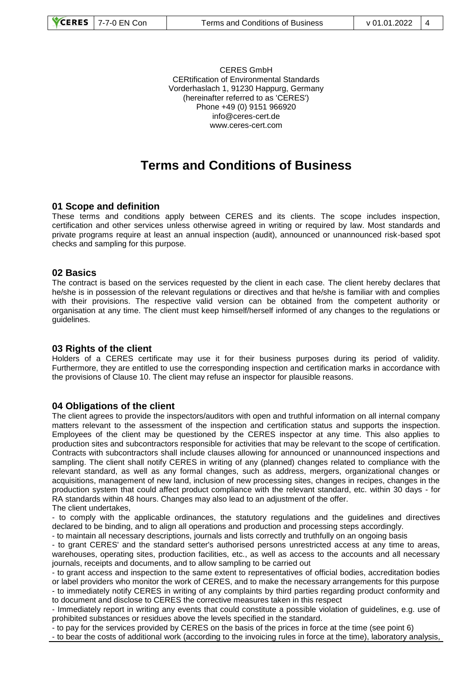CERES GmbH CERtification of Environmental Standards Vorderhaslach 1, 91230 Happurg, Germany (hereinafter referred to as 'CERES') Phone +49 (0) 9151 966920 info@ceres-cert.de www.ceres-cert.com

# **Terms and Conditions of Business**

## **01 Scope and definition**

These terms and conditions apply between CERES and its clients. The scope includes inspection, certification and other services unless otherwise agreed in writing or required by law. Most standards and private programs require at least an annual inspection (audit), announced or unannounced risk-based spot checks and sampling for this purpose.

#### **02 Basics**

The contract is based on the services requested by the client in each case. The client hereby declares that he/she is in possession of the relevant regulations or directives and that he/she is familiar with and complies with their provisions. The respective valid version can be obtained from the competent authority or organisation at any time. The client must keep himself/herself informed of any changes to the regulations or guidelines.

## **03 Rights of the client**

Holders of a CERES certificate may use it for their business purposes during its period of validity. Furthermore, they are entitled to use the corresponding inspection and certification marks in accordance with the provisions of Clause 10. The client may refuse an inspector for plausible reasons.

#### **04 Obligations of the client**

The client agrees to provide the inspectors/auditors with open and truthful information on all internal company matters relevant to the assessment of the inspection and certification status and supports the inspection. Employees of the client may be questioned by the CERES inspector at any time. This also applies to production sites and subcontractors responsible for activities that may be relevant to the scope of certification. Contracts with subcontractors shall include clauses allowing for announced or unannounced inspections and sampling. The client shall notify CERES in writing of any (planned) changes related to compliance with the relevant standard, as well as any formal changes, such as address, mergers, organizational changes or acquisitions, management of new land, inclusion of new processing sites, changes in recipes, changes in the production system that could affect product compliance with the relevant standard, etc. within 30 days - for RA standards within 48 hours. Changes may also lead to an adjustment of the offer.

The client undertakes,

- to comply with the applicable ordinances, the statutory regulations and the guidelines and directives declared to be binding, and to align all operations and production and processing steps accordingly.

- to maintain all necessary descriptions, journals and lists correctly and truthfully on an ongoing basis

- to grant CERES' and the standard setter's authorised persons unrestricted access at any time to areas, warehouses, operating sites, production facilities, etc., as well as access to the accounts and all necessary journals, receipts and documents, and to allow sampling to be carried out

- to grant access and inspection to the same extent to representatives of official bodies, accreditation bodies or label providers who monitor the work of CERES, and to make the necessary arrangements for this purpose - to immediately notify CERES in writing of any complaints by third parties regarding product conformity and to document and disclose to CERES the corrective measures taken in this respect

- Immediately report in writing any events that could constitute a possible violation of guidelines, e.g. use of prohibited substances or residues above the levels specified in the standard.

- to pay for the services provided by CERES on the basis of the prices in force at the time (see point 6)

- to bear the costs of additional work (according to the invoicing rules in force at the time), laboratory analysis,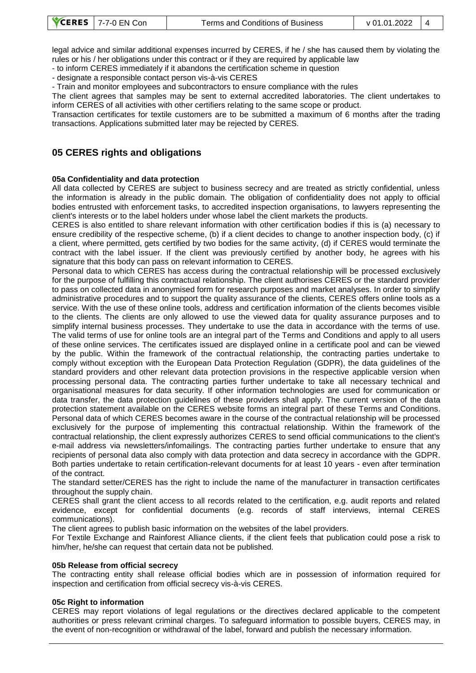legal advice and similar additional expenses incurred by CERES, if he / she has caused them by violating the rules or his / her obligations under this contract or if they are required by applicable law

- to inform CERES immediately if it abandons the certification scheme in question

- designate a responsible contact person vis-à-vis CERES

- Train and monitor employees and subcontractors to ensure compliance with the rules

The client agrees that samples may be sent to external accredited laboratories. The client undertakes to inform CERES of all activities with other certifiers relating to the same scope or product.

Transaction certificates for textile customers are to be submitted a maximum of 6 months after the trading transactions. Applications submitted later may be rejected by CERES.

# **05 CERES rights and obligations**

## **05a Confidentiality and data protection**

All data collected by CERES are subject to business secrecy and are treated as strictly confidential, unless the information is already in the public domain. The obligation of confidentiality does not apply to official bodies entrusted with enforcement tasks, to accredited inspection organisations, to lawyers representing the client's interests or to the label holders under whose label the client markets the products.

CERES is also entitled to share relevant information with other certification bodies if this is (a) necessary to ensure credibility of the respective scheme, (b) if a client decides to change to another inspection body, (c) if a client, where permitted, gets certified by two bodies for the same activity, (d) if CERES would terminate the contract with the label issuer. If the client was previously certified by another body, he agrees with his signature that this body can pass on relevant information to CERES.

Personal data to which CERES has access during the contractual relationship will be processed exclusively for the purpose of fulfilling this contractual relationship. The client authorises CERES or the standard provider to pass on collected data in anonymised form for research purposes and market analyses. In order to simplify administrative procedures and to support the quality assurance of the clients, CERES offers online tools as a service. With the use of these online tools, address and certification information of the clients becomes visible to the clients. The clients are only allowed to use the viewed data for quality assurance purposes and to simplify internal business processes. They undertake to use the data in accordance with the terms of use. The valid terms of use for online tools are an integral part of the Terms and Conditions and apply to all users of these online services. The certificates issued are displayed online in a certificate pool and can be viewed by the public. Within the framework of the contractual relationship, the contracting parties undertake to comply without exception with the European Data Protection Regulation (GDPR), the data guidelines of the standard providers and other relevant data protection provisions in the respective applicable version when processing personal data. The contracting parties further undertake to take all necessary technical and organisational measures for data security. If other information technologies are used for communication or data transfer, the data protection guidelines of these providers shall apply. The current version of the data protection statement available on the CERES website forms an integral part of these Terms and Conditions. Personal data of which CERES becomes aware in the course of the contractual relationship will be processed exclusively for the purpose of implementing this contractual relationship. Within the framework of the contractual relationship, the client expressly authorizes CERES to send official communications to the client's e-mail address via newsletters/infomailings. The contracting parties further undertake to ensure that any recipients of personal data also comply with data protection and data secrecy in accordance with the GDPR. Both parties undertake to retain certification-relevant documents for at least 10 years - even after termination of the contract.

The standard setter/CERES has the right to include the name of the manufacturer in transaction certificates throughout the supply chain.

CERES shall grant the client access to all records related to the certification, e.g. audit reports and related evidence, except for confidential documents (e.g. records of staff interviews, internal CERES communications).

The client agrees to publish basic information on the websites of the label providers.

For Textile Exchange and Rainforest Alliance clients, if the client feels that publication could pose a risk to him/her, he/she can request that certain data not be published.

#### **05b Release from official secrecy**

The contracting entity shall release official bodies which are in possession of information required for inspection and certification from official secrecy vis-à-vis CERES.

## **05c Right to information**

CERES may report violations of legal regulations or the directives declared applicable to the competent authorities or press relevant criminal charges. To safeguard information to possible buyers, CERES may, in the event of non-recognition or withdrawal of the label, forward and publish the necessary information.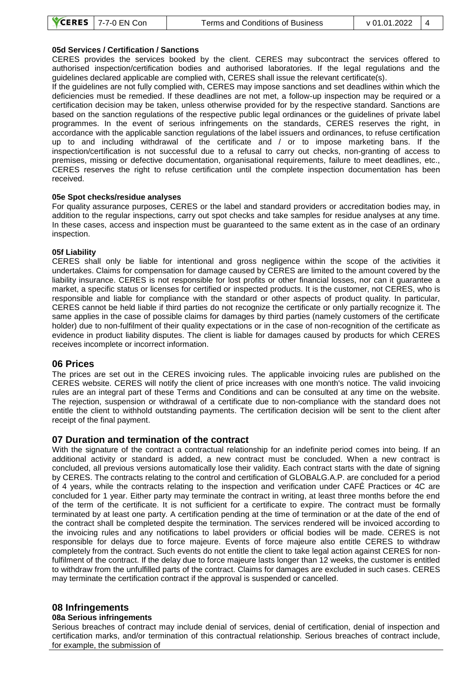## **05d Services / Certification / Sanctions**

CERES provides the services booked by the client. CERES may subcontract the services offered to authorised inspection/certification bodies and authorised laboratories. If the legal regulations and the guidelines declared applicable are complied with, CERES shall issue the relevant certificate(s).

If the guidelines are not fully complied with, CERES may impose sanctions and set deadlines within which the deficiencies must be remedied. If these deadlines are not met, a follow-up inspection may be required or a certification decision may be taken, unless otherwise provided for by the respective standard. Sanctions are based on the sanction regulations of the respective public legal ordinances or the guidelines of private label programmes. In the event of serious infringements on the standards, CERES reserves the right, in accordance with the applicable sanction regulations of the label issuers and ordinances, to refuse certification up to and including withdrawal of the certificate and / or to impose marketing bans. If the inspection/certification is not successful due to a refusal to carry out checks, non-granting of access to premises, missing or defective documentation, organisational requirements, failure to meet deadlines, etc., CERES reserves the right to refuse certification until the complete inspection documentation has been received.

#### **05e Spot checks/residue analyses**

For quality assurance purposes, CERES or the label and standard providers or accreditation bodies may, in addition to the regular inspections, carry out spot checks and take samples for residue analyses at any time. In these cases, access and inspection must be guaranteed to the same extent as in the case of an ordinary inspection.

#### **05f Liability**

CERES shall only be liable for intentional and gross negligence within the scope of the activities it undertakes. Claims for compensation for damage caused by CERES are limited to the amount covered by the liability insurance. CERES is not responsible for lost profits or other financial losses, nor can it guarantee a market, a specific status or licenses for certified or inspected products. It is the customer, not CERES, who is responsible and liable for compliance with the standard or other aspects of product quality. In particular, CERES cannot be held liable if third parties do not recognize the certificate or only partially recognize it. The same applies in the case of possible claims for damages by third parties (namely customers of the certificate holder) due to non-fulfilment of their quality expectations or in the case of non-recognition of the certificate as evidence in product liability disputes. The client is liable for damages caused by products for which CERES receives incomplete or incorrect information.

## **06 Prices**

The prices are set out in the CERES invoicing rules. The applicable invoicing rules are published on the CERES website. CERES will notify the client of price increases with one month's notice. The valid invoicing rules are an integral part of these Terms and Conditions and can be consulted at any time on the website. The rejection, suspension or withdrawal of a certificate due to non-compliance with the standard does not entitle the client to withhold outstanding payments. The certification decision will be sent to the client after receipt of the final payment.

## **07 Duration and termination of the contract**

With the signature of the contract a contractual relationship for an indefinite period comes into being. If an additional activity or standard is added, a new contract must be concluded. When a new contract is concluded, all previous versions automatically lose their validity. Each contract starts with the date of signing by CERES. The contracts relating to the control and certification of GLOBALG.A.P. are concluded for a period of 4 years, while the contracts relating to the inspection and verification under CAFÉ Practices or 4C are concluded for 1 year. Either party may terminate the contract in writing, at least three months before the end of the term of the certificate. It is not sufficient for a certificate to expire. The contract must be formally terminated by at least one party. A certification pending at the time of termination or at the date of the end of the contract shall be completed despite the termination. The services rendered will be invoiced according to the invoicing rules and any notifications to label providers or official bodies will be made. CERES is not responsible for delays due to force majeure. Events of force majeure also entitle CERES to withdraw completely from the contract. Such events do not entitle the client to take legal action against CERES for nonfulfilment of the contract. If the delay due to force majeure lasts longer than 12 weeks, the customer is entitled to withdraw from the unfulfilled parts of the contract. Claims for damages are excluded in such cases. CERES may terminate the certification contract if the approval is suspended or cancelled.

## **08 Infringements**

#### **08a Serious infringements**

Serious breaches of contract may include denial of services, denial of certification, denial of inspection and certification marks, and/or termination of this contractual relationship. Serious breaches of contract include, for example, the submission of